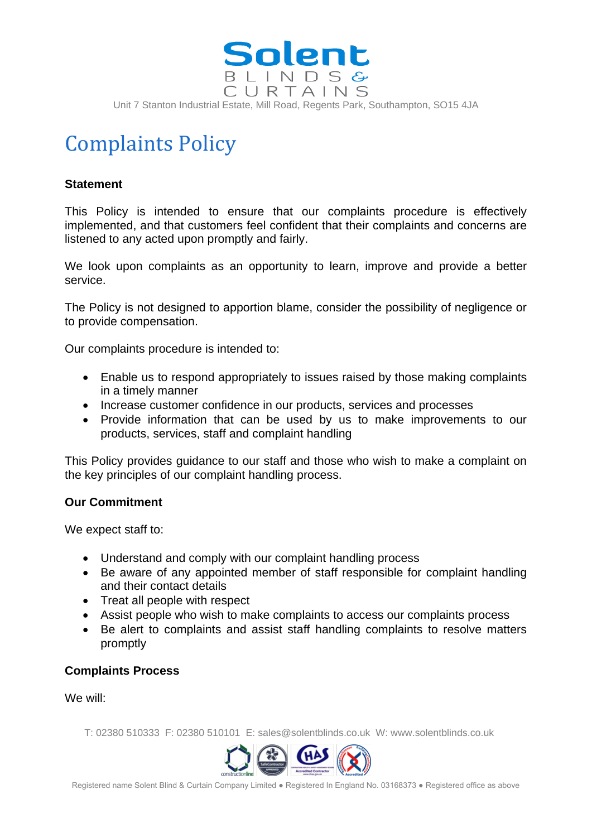

# Complaints Policy

## **Statement**

This Policy is intended to ensure that our complaints procedure is effectively implemented, and that customers feel confident that their complaints and concerns are listened to any acted upon promptly and fairly.

We look upon complaints as an opportunity to learn, improve and provide a better service.

The Policy is not designed to apportion blame, consider the possibility of negligence or to provide compensation.

Our complaints procedure is intended to:

- Enable us to respond appropriately to issues raised by those making complaints in a timely manner
- Increase customer confidence in our products, services and processes
- Provide information that can be used by us to make improvements to our products, services, staff and complaint handling

This Policy provides guidance to our staff and those who wish to make a complaint on the key principles of our complaint handling process.

### **Our Commitment**

We expect staff to:

- Understand and comply with our complaint handling process
- Be aware of any appointed member of staff responsible for complaint handling and their contact details
- Treat all people with respect
- Assist people who wish to make complaints to access our complaints process
- Be alert to complaints and assist staff handling complaints to resolve matters promptly

### **Complaints Process**

We will:

T: 02380 510333 F: 02380 510101 E: sales@solentblinds.co.uk W: www.solentblinds.co.uk



Registered name Solent Blind & Curtain Company Limited ● Registered In England No. 03168373 ● Registered office as above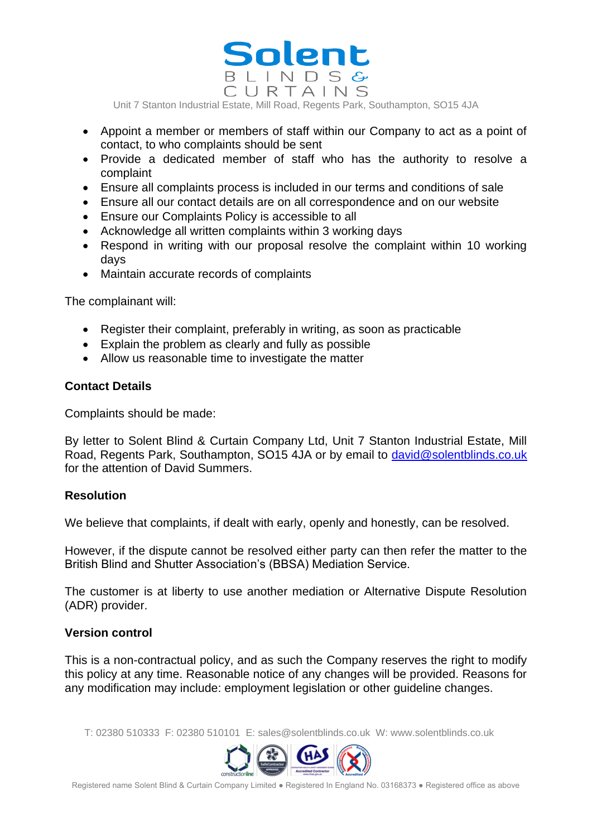

Unit 7 Stanton Industrial Estate, Mill Road, Regents Park, Southampton, SO15 4JA

- Appoint a member or members of staff within our Company to act as a point of contact, to who complaints should be sent
- Provide a dedicated member of staff who has the authority to resolve a complaint
- Ensure all complaints process is included in our terms and conditions of sale
- Ensure all our contact details are on all correspondence and on our website
- Ensure our Complaints Policy is accessible to all
- Acknowledge all written complaints within 3 working days
- Respond in writing with our proposal resolve the complaint within 10 working days
- Maintain accurate records of complaints

The complainant will:

- Register their complaint, preferably in writing, as soon as practicable
- Explain the problem as clearly and fully as possible
- Allow us reasonable time to investigate the matter

### **Contact Details**

Complaints should be made:

By letter to Solent Blind & Curtain Company Ltd, Unit 7 Stanton Industrial Estate, Mill Road, Regents Park, Southampton, SO15 4JA or by email to [david@solentblinds.co.uk](mailto:david@solentblinds.co.uk) for the attention of David Summers.

### **Resolution**

We believe that complaints, if dealt with early, openly and honestly, can be resolved.

However, if the dispute cannot be resolved either party can then refer the matter to the British Blind and Shutter Association's (BBSA) Mediation Service.

The customer is at liberty to use another mediation or Alternative Dispute Resolution (ADR) provider.

### **Version control**

This is a non-contractual policy, and as such the Company reserves the right to modify this policy at any time. Reasonable notice of any changes will be provided. Reasons for any modification may include: employment legislation or other guideline changes.

T: 02380 510333 F: 02380 510101 E: sales@solentblinds.co.uk W: www.solentblinds.co.uk



Registered name Solent Blind & Curtain Company Limited ● Registered In England No. 03168373 ● Registered office as above